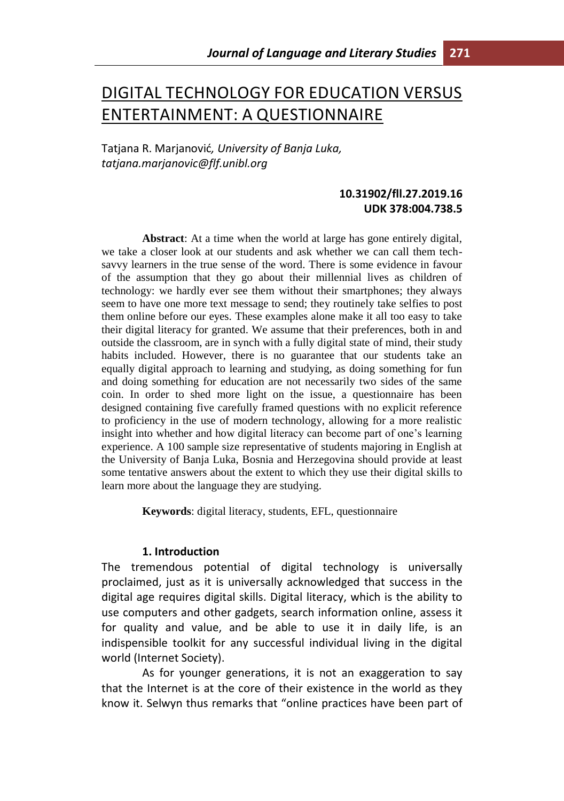# DIGITAL TECHNOLOGY FOR EDUCATION VERSUS ENTERTAINMENT: A QUESTIONNAIRE

Tatjana R. Marjanović*, University of Banja Luka, tatjana.marjanovic@flf.unibl.org*

# **10.31902/fll.27.2019.16 UDK 378:004.738.5**

**Abstract**: At a time when the world at large has gone entirely digital, we take a closer look at our students and ask whether we can call them techsavvy learners in the true sense of the word. There is some evidence in favour of the assumption that they go about their millennial lives as children of technology: we hardly ever see them without their smartphones; they always seem to have one more text message to send; they routinely take selfies to post them online before our eyes. These examples alone make it all too easy to take their digital literacy for granted. We assume that their preferences, both in and outside the classroom, are in synch with a fully digital state of mind, their study habits included. However, there is no guarantee that our students take an equally digital approach to learning and studying, as doing something for fun and doing something for education are not necessarily two sides of the same coin. In order to shed more light on the issue, a questionnaire has been designed containing five carefully framed questions with no explicit reference to proficiency in the use of modern technology, allowing for a more realistic insight into whether and how digital literacy can become part of one's learning experience. A 100 sample size representative of students majoring in English at the University of Banja Luka, Bosnia and Herzegovina should provide at least some tentative answers about the extent to which they use their digital skills to learn more about the language they are studying.

**Keywords**: digital literacy, students, EFL, questionnaire

#### **1. Introduction**

The tremendous potential of digital technology is universally proclaimed, just as it is universally acknowledged that success in the digital age requires digital skills. Digital literacy, which is the ability to use computers and other gadgets, search information online, assess it for quality and value, and be able to use it in daily life, is an indispensible toolkit for any successful individual living in the digital world (Internet Society).

As for younger generations, it is not an exaggeration to say that the Internet is at the core of their existence in the world as they know it. Selwyn thus remarks that "online practices have been part of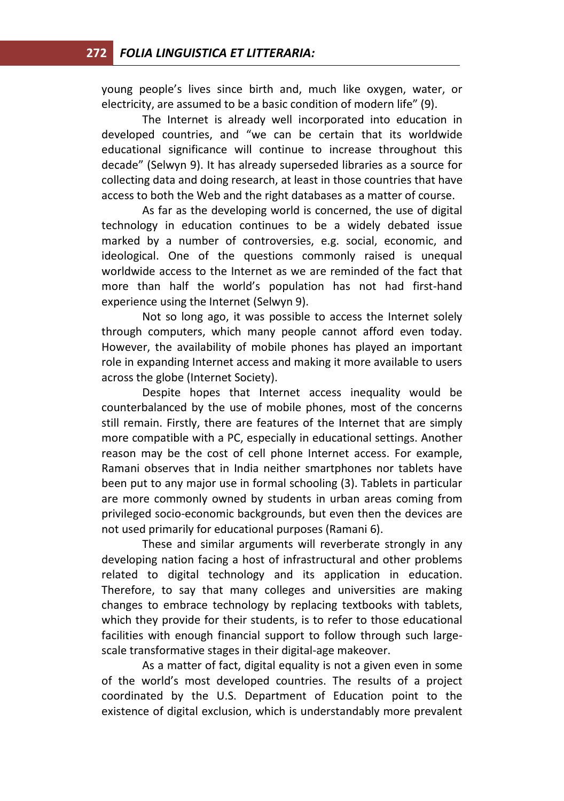young people's lives since birth and, much like oxygen, water, or electricity, are assumed to be a basic condition of modern life" (9).

The Internet is already well incorporated into education in developed countries, and "we can be certain that its worldwide educational significance will continue to increase throughout this decade" (Selwyn 9). It has already superseded libraries as a source for collecting data and doing research, at least in those countries that have access to both the Web and the right databases as a matter of course.

As far as the developing world is concerned, the use of digital technology in education continues to be a widely debated issue marked by a number of controversies, e.g. social, economic, and ideological. One of the questions commonly raised is unequal worldwide access to the Internet as we are reminded of the fact that more than half the world's population has not had first-hand experience using the Internet (Selwyn 9).

Not so long ago, it was possible to access the Internet solely through computers, which many people cannot afford even today. However, the availability of mobile phones has played an important role in expanding Internet access and making it more available to users across the globe (Internet Society).

Despite hopes that Internet access inequality would be counterbalanced by the use of mobile phones, most of the concerns still remain. Firstly, there are features of the Internet that are simply more compatible with a PC, especially in educational settings. Another reason may be the cost of cell phone Internet access. For example, Ramani observes that in India neither smartphones nor tablets have been put to any major use in formal schooling (3). Tablets in particular are more commonly owned by students in urban areas coming from privileged socio-economic backgrounds, but even then the devices are not used primarily for educational purposes (Ramani 6).

These and similar arguments will reverberate strongly in any developing nation facing a host of infrastructural and other problems related to digital technology and its application in education. Therefore, to say that many colleges and universities are making changes to embrace technology by replacing textbooks with tablets, which they provide for their students, is to refer to those educational facilities with enough financial support to follow through such largescale transformative stages in their digital-age makeover.

As a matter of fact, digital equality is not a given even in some of the world's most developed countries. The results of a project coordinated by the U.S. Department of Education point to the existence of digital exclusion, which is understandably more prevalent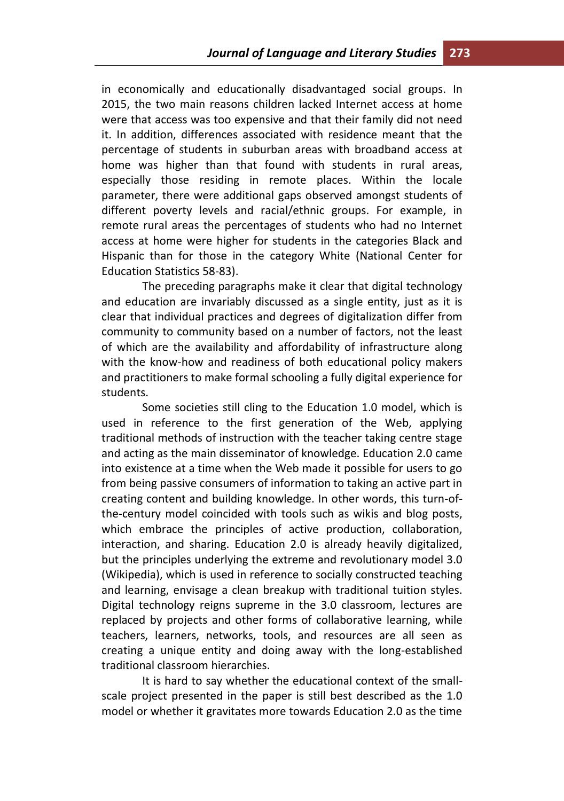in economically and educationally disadvantaged social groups. In 2015, the two main reasons children lacked Internet access at home were that access was too expensive and that their family did not need it. In addition, differences associated with residence meant that the percentage of students in suburban areas with broadband access at home was higher than that found with students in rural areas, especially those residing in remote places. Within the locale parameter, there were additional gaps observed amongst students of different poverty levels and racial/ethnic groups. For example, in remote rural areas the percentages of students who had no Internet access at home were higher for students in the categories Black and Hispanic than for those in the category White (National Center for Education Statistics 58-83).

The preceding paragraphs make it clear that digital technology and education are invariably discussed as a single entity, just as it is clear that individual practices and degrees of digitalization differ from community to community based on a number of factors, not the least of which are the availability and affordability of infrastructure along with the know-how and readiness of both educational policy makers and practitioners to make formal schooling a fully digital experience for students.

Some societies still cling to the Education 1.0 model, which is used in reference to the first generation of the Web, applying traditional methods of instruction with the teacher taking centre stage and acting as the main disseminator of knowledge. Education 2.0 came into existence at a time when the Web made it possible for users to go from being passive consumers of information to taking an active part in creating content and building knowledge. In other words, this turn-ofthe-century model coincided with tools such as wikis and blog posts, which embrace the principles of active production, collaboration, interaction, and sharing. Education 2.0 is already heavily digitalized, but the principles underlying the extreme and revolutionary model 3.0 (Wikipedia), which is used in reference to socially constructed teaching and learning, envisage a clean breakup with traditional tuition styles. Digital technology reigns supreme in the 3.0 classroom, lectures are replaced by projects and other forms of collaborative learning, while teachers, learners, networks, tools, and resources are all seen as creating a unique entity and doing away with the long-established traditional classroom hierarchies.

It is hard to say whether the educational context of the smallscale project presented in the paper is still best described as the 1.0 model or whether it gravitates more towards Education 2.0 as the time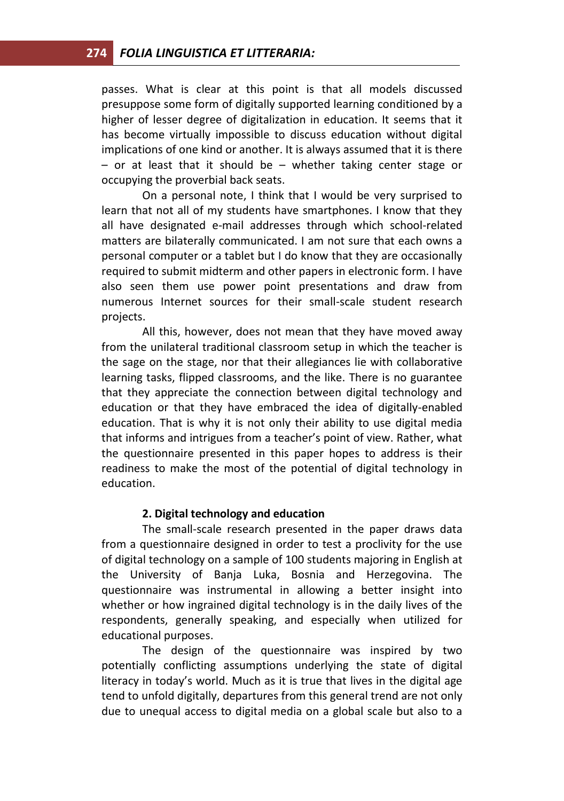passes. What is clear at this point is that all models discussed presuppose some form of digitally supported learning conditioned by a higher of lesser degree of digitalization in education. It seems that it has become virtually impossible to discuss education without digital implications of one kind or another. It is always assumed that it is there – or at least that it should be – whether taking center stage or occupying the proverbial back seats.

On a personal note, I think that I would be very surprised to learn that not all of my students have smartphones. I know that they all have designated e-mail addresses through which school-related matters are bilaterally communicated. I am not sure that each owns a personal computer or a tablet but I do know that they are occasionally required to submit midterm and other papers in electronic form. I have also seen them use power point presentations and draw from numerous Internet sources for their small-scale student research projects.

All this, however, does not mean that they have moved away from the unilateral traditional classroom setup in which the teacher is the sage on the stage, nor that their allegiances lie with collaborative learning tasks, flipped classrooms, and the like. There is no guarantee that they appreciate the connection between digital technology and education or that they have embraced the idea of digitally-enabled education. That is why it is not only their ability to use digital media that informs and intrigues from a teacher's point of view. Rather, what the questionnaire presented in this paper hopes to address is their readiness to make the most of the potential of digital technology in education.

## **2. Digital technology and education**

The small-scale research presented in the paper draws data from a questionnaire designed in order to test a proclivity for the use of digital technology on a sample of 100 students majoring in English at the University of Banja Luka, Bosnia and Herzegovina. The questionnaire was instrumental in allowing a better insight into whether or how ingrained digital technology is in the daily lives of the respondents, generally speaking, and especially when utilized for educational purposes.

The design of the questionnaire was inspired by two potentially conflicting assumptions underlying the state of digital literacy in today's world. Much as it is true that lives in the digital age tend to unfold digitally, departures from this general trend are not only due to unequal access to digital media on a global scale but also to a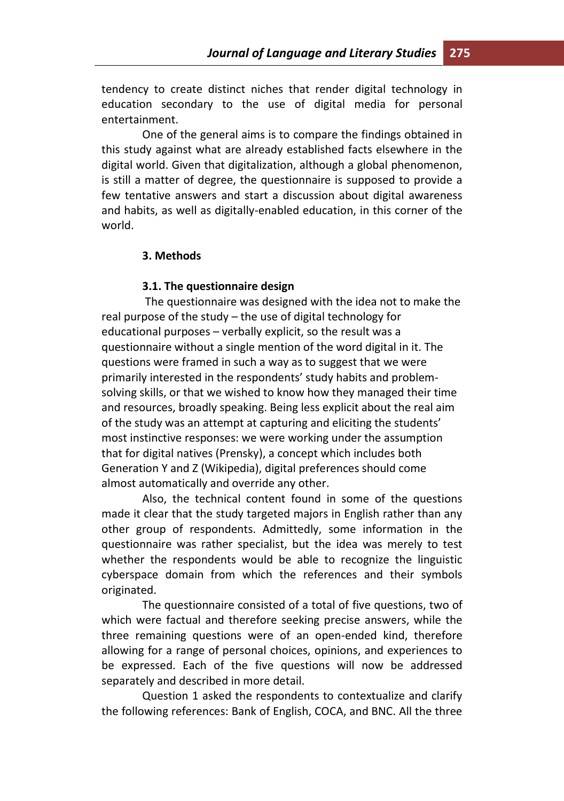tendency to create distinct niches that render digital technology in education secondary to the use of digital media for personal entertainment.

One of the general aims is to compare the findings obtained in this study against what are already established facts elsewhere in the digital world. Given that digitalization, although a global phenomenon, is still a matter of degree, the questionnaire is supposed to provide a few tentative answers and start a discussion about digital awareness and habits, as well as digitally-enabled education, in this corner of the world.

#### **3. Methods**

#### **3.1. The questionnaire design**

The questionnaire was designed with the idea not to make the real purpose of the study – the use of digital technology for educational purposes – verbally explicit, so the result was a questionnaire without a single mention of the word digital in it. The questions were framed in such a way as to suggest that we were primarily interested in the respondents' study habits and problemsolving skills, or that we wished to know how they managed their time and resources, broadly speaking. Being less explicit about the real aim of the study was an attempt at capturing and eliciting the students' most instinctive responses: we were working under the assumption that for digital natives (Prensky), a concept which includes both Generation Y and Z (Wikipedia), digital preferences should come almost automatically and override any other.

Also, the technical content found in some of the questions made it clear that the study targeted majors in English rather than any other group of respondents. Admittedly, some information in the questionnaire was rather specialist, but the idea was merely to test whether the respondents would be able to recognize the linguistic cyberspace domain from which the references and their symbols originated.

The questionnaire consisted of a total of five questions, two of which were factual and therefore seeking precise answers, while the three remaining questions were of an open-ended kind, therefore allowing for a range of personal choices, opinions, and experiences to be expressed. Each of the five questions will now be addressed separately and described in more detail.

Question 1 asked the respondents to contextualize and clarify the following references: Bank of English, COCA, and BNC. All the three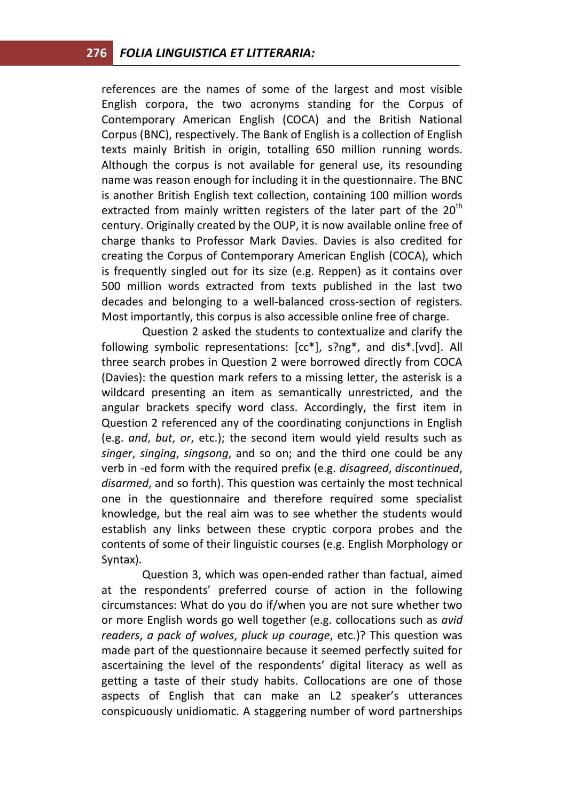references are the names of some of the largest and most visible English corpora, the two acronyms standing for the Corpus of Contemporary American English (COCA) and the British National Corpus (BNC), respectively. The Bank of English is a collection of English texts mainly British in origin, totalling 650 million running words. Although the corpus is not available for general use, its resounding name was reason enough for including it in the questionnaire. The BNC is another British English text collection, containing 100 million words extracted from mainly written registers of the later part of the  $20<sup>th</sup>$ century. Originally created by the OUP, it is now available online free of charge thanks to Professor Mark Davies. Davies is also credited for creating the Corpus of Contemporary American English (COCA), which is frequently singled out for its size (e.g. Reppen) as it contains over 500 million words extracted from texts published in the last two decades and belonging to a well-balanced cross-section of registers. Most importantly, this corpus is also accessible online free of charge.

Question 2 asked the students to contextualize and clarify the following symbolic representations: [cc\*], s?ng\*, and dis\*.[vvd]. All three search probes in Question 2 were borrowed directly from COCA (Davies): the question mark refers to a missing letter, the asterisk is a wildcard presenting an item as semantically unrestricted, and the angular brackets specify word class. Accordingly, the first item in Question 2 referenced any of the coordinating conjunctions in English (e.g. *and*, *but*, *or*, etc.); the second item would yield results such as *singer*, *singing*, *singsong*, and so on; and the third one could be any verb in -ed form with the required prefix (e.g. *disagreed*, *discontinued*, *disarmed*, and so forth). This question was certainly the most technical one in the questionnaire and therefore required some specialist knowledge, but the real aim was to see whether the students would establish any links between these cryptic corpora probes and the contents of some of their linguistic courses (e.g. English Morphology or Syntax).

Question 3, which was open-ended rather than factual, aimed at the respondents' preferred course of action in the following circumstances: What do you do if/when you are not sure whether two or more English words go well together (e.g. collocations such as *avid readers*, *a pack of wolves*, *pluck up courage*, etc.)? This question was made part of the questionnaire because it seemed perfectly suited for ascertaining the level of the respondents' digital literacy as well as getting a taste of their study habits. Collocations are one of those aspects of English that can make an L2 speaker's utterances conspicuously unidiomatic. A staggering number of word partnerships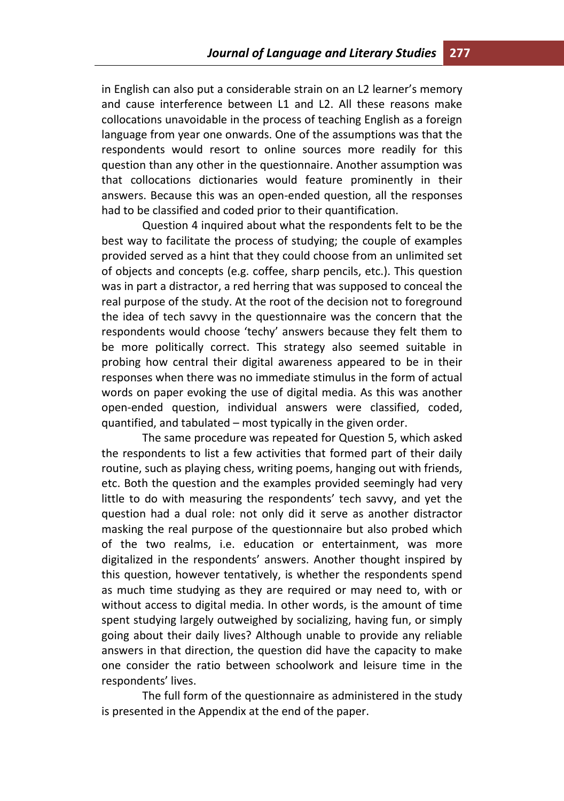in English can also put a considerable strain on an L2 learner's memory and cause interference between L1 and L2. All these reasons make collocations unavoidable in the process of teaching English as a foreign language from year one onwards. One of the assumptions was that the respondents would resort to online sources more readily for this question than any other in the questionnaire. Another assumption was that collocations dictionaries would feature prominently in their answers. Because this was an open-ended question, all the responses had to be classified and coded prior to their quantification.

Question 4 inquired about what the respondents felt to be the best way to facilitate the process of studying; the couple of examples provided served as a hint that they could choose from an unlimited set of objects and concepts (e.g. coffee, sharp pencils, etc.). This question was in part a distractor, a red herring that was supposed to conceal the real purpose of the study. At the root of the decision not to foreground the idea of tech savvy in the questionnaire was the concern that the respondents would choose 'techy' answers because they felt them to be more politically correct. This strategy also seemed suitable in probing how central their digital awareness appeared to be in their responses when there was no immediate stimulus in the form of actual words on paper evoking the use of digital media. As this was another open-ended question, individual answers were classified, coded, quantified, and tabulated – most typically in the given order.

The same procedure was repeated for Question 5, which asked the respondents to list a few activities that formed part of their daily routine, such as playing chess, writing poems, hanging out with friends, etc. Both the question and the examples provided seemingly had very little to do with measuring the respondents' tech savvy, and yet the question had a dual role: not only did it serve as another distractor masking the real purpose of the questionnaire but also probed which of the two realms, i.e. education or entertainment, was more digitalized in the respondents' answers. Another thought inspired by this question, however tentatively, is whether the respondents spend as much time studying as they are required or may need to, with or without access to digital media. In other words, is the amount of time spent studying largely outweighed by socializing, having fun, or simply going about their daily lives? Although unable to provide any reliable answers in that direction, the question did have the capacity to make one consider the ratio between schoolwork and leisure time in the respondents' lives.

The full form of the questionnaire as administered in the study is presented in the Appendix at the end of the paper.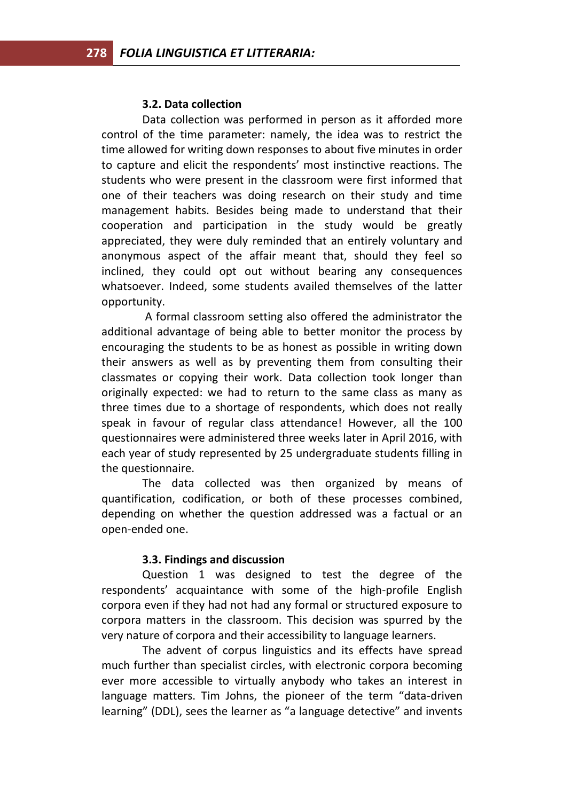#### **3.2. Data collection**

Data collection was performed in person as it afforded more control of the time parameter: namely, the idea was to restrict the time allowed for writing down responses to about five minutes in order to capture and elicit the respondents' most instinctive reactions. The students who were present in the classroom were first informed that one of their teachers was doing research on their study and time management habits. Besides being made to understand that their cooperation and participation in the study would be greatly appreciated, they were duly reminded that an entirely voluntary and anonymous aspect of the affair meant that, should they feel so inclined, they could opt out without bearing any consequences whatsoever. Indeed, some students availed themselves of the latter opportunity.

A formal classroom setting also offered the administrator the additional advantage of being able to better monitor the process by encouraging the students to be as honest as possible in writing down their answers as well as by preventing them from consulting their classmates or copying their work. Data collection took longer than originally expected: we had to return to the same class as many as three times due to a shortage of respondents, which does not really speak in favour of regular class attendance! However, all the 100 questionnaires were administered three weeks later in April 2016, with each year of study represented by 25 undergraduate students filling in the questionnaire.

The data collected was then organized by means of quantification, codification, or both of these processes combined, depending on whether the question addressed was a factual or an open-ended one.

#### **3.3. Findings and discussion**

Question 1 was designed to test the degree of the respondents' acquaintance with some of the high-profile English corpora even if they had not had any formal or structured exposure to corpora matters in the classroom. This decision was spurred by the very nature of corpora and their accessibility to language learners.

The advent of corpus linguistics and its effects have spread much further than specialist circles, with electronic corpora becoming ever more accessible to virtually anybody who takes an interest in language matters. Tim Johns, the pioneer of the term "data-driven learning" (DDL), sees the learner as "a language detective" and invents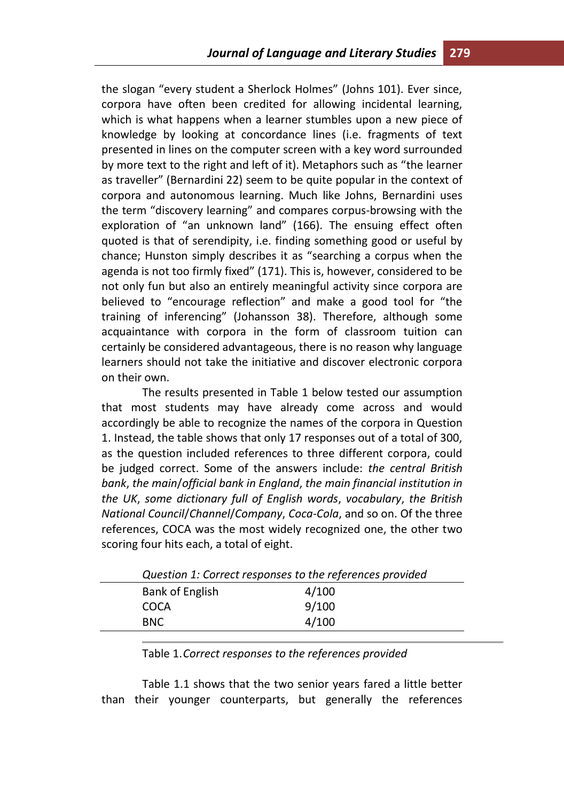the slogan "every student a Sherlock Holmes" (Johns 101). Ever since, corpora have often been credited for allowing incidental learning, which is what happens when a learner stumbles upon a new piece of knowledge by looking at concordance lines (i.e. fragments of text presented in lines on the computer screen with a key word surrounded by more text to the right and left of it). Metaphors such as "the learner as traveller" (Bernardini 22) seem to be quite popular in the context of corpora and autonomous learning. Much like Johns, Bernardini uses the term "discovery learning" and compares corpus-browsing with the exploration of "an unknown land" (166). The ensuing effect often quoted is that of serendipity, i.e. finding something good or useful by chance; Hunston simply describes it as "searching a corpus when the agenda is not too firmly fixed" (171). This is, however, considered to be not only fun but also an entirely meaningful activity since corpora are believed to "encourage reflection" and make a good tool for "the training of inferencing" (Johansson 38). Therefore, although some acquaintance with corpora in the form of classroom tuition can certainly be considered advantageous, there is no reason why language learners should not take the initiative and discover electronic corpora on their own.

The results presented in Table 1 below tested our assumption that most students may have already come across and would accordingly be able to recognize the names of the corpora in Question 1. Instead, the table shows that only 17 responses out of a total of 300, as the question included references to three different corpora, could be judged correct. Some of the answers include: *the central British bank*, *the main*/*official bank in England*, *the main financial institution in the UK*, *some dictionary full of English words*, *vocabulary*, *the British National Council*/*Channel*/*Company*, *Coca-Cola*, and so on. Of the three references, COCA was the most widely recognized one, the other two scoring four hits each, a total of eight.

|                 | Question 1: Correct responses to the references provided |
|-----------------|----------------------------------------------------------|
| Bank of English | 4/100                                                    |
| COCA            | 9/100                                                    |
| BNC.            | 4/100                                                    |
|                 |                                                          |

Table 1.1 shows that the two senior years fared a little better than their younger counterparts, but generally the references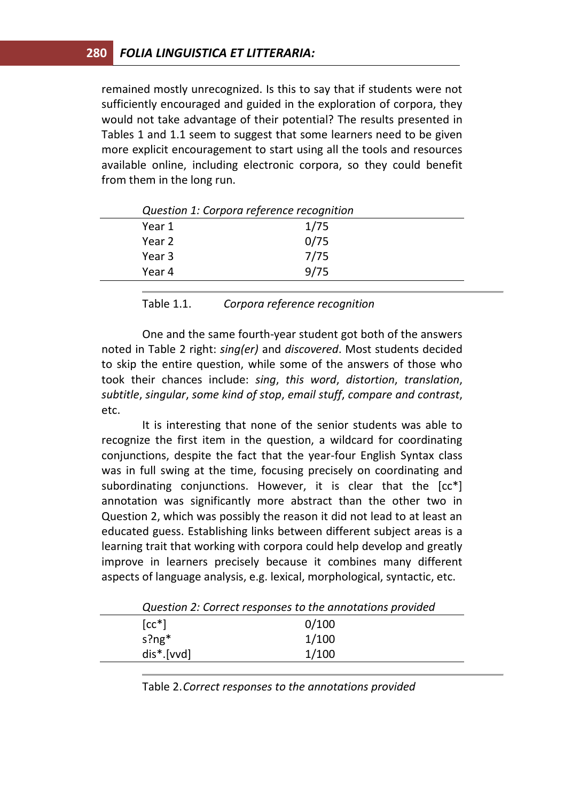remained mostly unrecognized. Is this to say that if students were not sufficiently encouraged and guided in the exploration of corpora, they would not take advantage of their potential? The results presented in Tables 1 and 1.1 seem to suggest that some learners need to be given more explicit encouragement to start using all the tools and resources available online, including electronic corpora, so they could benefit from them in the long run.

| 1/75<br>0/75 |  |
|--------------|--|
|              |  |
|              |  |
| 7/75         |  |
| 9/75         |  |
|              |  |

*Question 1: Corpora reference recognition* 

Table 1.1. *Corpora reference recognition* 

One and the same fourth-year student got both of the answers noted in Table 2 right: *sing(er)* and *discovered*. Most students decided to skip the entire question, while some of the answers of those who took their chances include: *sing*, *this word*, *distortion*, *translation*, *subtitle*, *singular*, *some kind of stop*, *email stuff*, *compare and contrast*, etc.

It is interesting that none of the senior students was able to recognize the first item in the question, a wildcard for coordinating conjunctions, despite the fact that the year-four English Syntax class was in full swing at the time, focusing precisely on coordinating and subordinating conjunctions. However, it is clear that the [cc\*] annotation was significantly more abstract than the other two in Question 2, which was possibly the reason it did not lead to at least an educated guess. Establishing links between different subject areas is a learning trait that working with corpora could help develop and greatly improve in learners precisely because it combines many different aspects of language analysis, e.g. lexical, morphological, syntactic, etc.

|                           | Question 2: Correct responses to the annotations provided |
|---------------------------|-----------------------------------------------------------|
| $[cc^*]$                  | 0/100                                                     |
| s?ng $*$                  | 1/100                                                     |
| $dis$ <sup>*</sup> .[vvd] | 1/100                                                     |
|                           |                                                           |

*Question 2: Correct responses to the annotations provided* 

Table 2.*Correct responses to the annotations provided*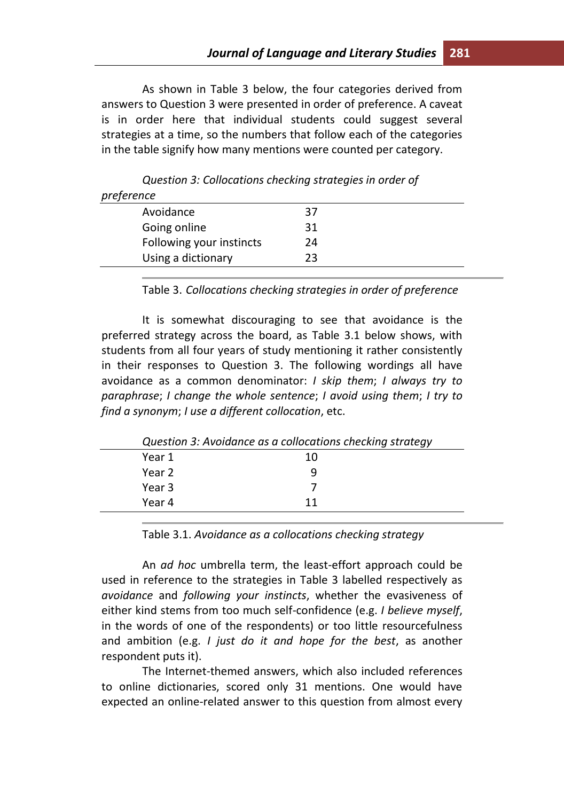As shown in Table 3 below, the four categories derived from answers to Question 3 were presented in order of preference. A caveat is in order here that individual students could suggest several strategies at a time, so the numbers that follow each of the categories in the table signify how many mentions were counted per category.

| 37 |  |
|----|--|
| 31 |  |
| 24 |  |
| 23 |  |
|    |  |

*Question 3: Collocations checking strategies in order of* 

Table 3. *Collocations checking strategies in order of preference*

It is somewhat discouraging to see that avoidance is the preferred strategy across the board, as Table 3.1 below shows, with students from all four years of study mentioning it rather consistently in their responses to Question 3. The following wordings all have avoidance as a common denominator: *I skip them*; *I always try to paraphrase*; *I change the whole sentence*; *I avoid using them*; *I try to find a synonym*; *I use a different collocation*, etc.

|        | Question 3: Avoidance as a collocations checking strategy |
|--------|-----------------------------------------------------------|
| Year 1 | 10                                                        |
| Year 2 | q                                                         |
| Year 3 |                                                           |
| Year 4 | 11                                                        |
|        |                                                           |

Table 3.1. *Avoidance as a collocations checking strategy* 

An *ad hoc* umbrella term, the least-effort approach could be used in reference to the strategies in Table 3 labelled respectively as *avoidance* and *following your instincts*, whether the evasiveness of either kind stems from too much self-confidence (e.g. *I believe myself*, in the words of one of the respondents) or too little resourcefulness and ambition (e.g. *I just do it and hope for the best*, as another respondent puts it).

The Internet-themed answers, which also included references to online dictionaries, scored only 31 mentions. One would have expected an online-related answer to this question from almost every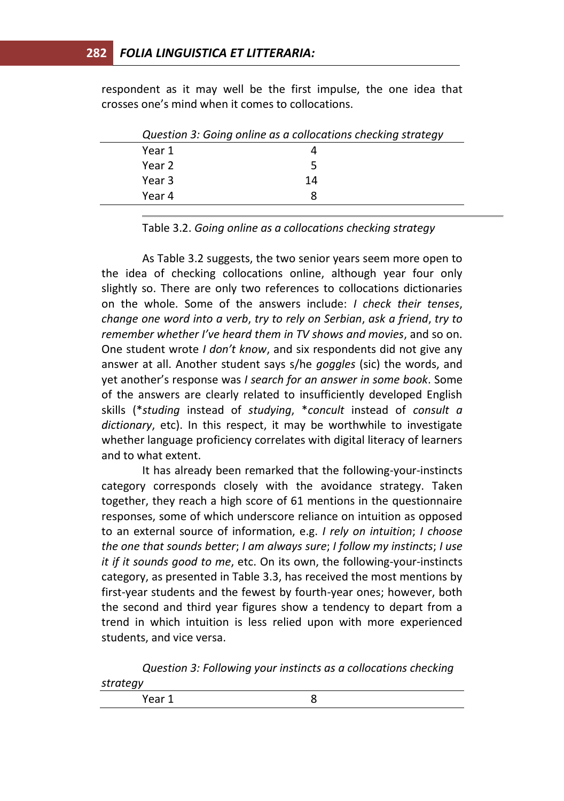respondent as it may well be the first impulse, the one idea that crosses one's mind when it comes to collocations.

|        | Question 3: Going online as a collocations checking strategy |
|--------|--------------------------------------------------------------|
| Year 1 |                                                              |
| Year 2 |                                                              |
| Year 3 | 14                                                           |
| Year 4 |                                                              |

Table 3.2. *Going online as a collocations checking strategy*

As Table 3.2 suggests, the two senior years seem more open to the idea of checking collocations online, although year four only slightly so. There are only two references to collocations dictionaries on the whole. Some of the answers include: *I check their tenses*, *change one word into a verb*, *try to rely on Serbian*, *ask a friend*, *try to remember whether I've heard them in TV shows and movies*, and so on. One student wrote *I don't know*, and six respondents did not give any answer at all. Another student says s/he *goggles* (sic) the words, and yet another's response was *I search for an answer in some book*. Some of the answers are clearly related to insufficiently developed English skills (\**studing* instead of *studying*, \**concult* instead of *consult a dictionary*, etc). In this respect, it may be worthwhile to investigate whether language proficiency correlates with digital literacy of learners and to what extent.

It has already been remarked that the following-your-instincts category corresponds closely with the avoidance strategy. Taken together, they reach a high score of 61 mentions in the questionnaire responses, some of which underscore reliance on intuition as opposed to an external source of information, e.g. *I rely on intuition*; *I choose the one that sounds better*; *I am always sure*; *I follow my instincts*; *I use it if it sounds good to me*, etc. On its own, the following-your-instincts category, as presented in Table 3.3, has received the most mentions by first-year students and the fewest by fourth-year ones; however, both the second and third year figures show a tendency to depart from a trend in which intuition is less relied upon with more experienced students, and vice versa.

*Question 3: Following your instincts as a collocations checking strategy*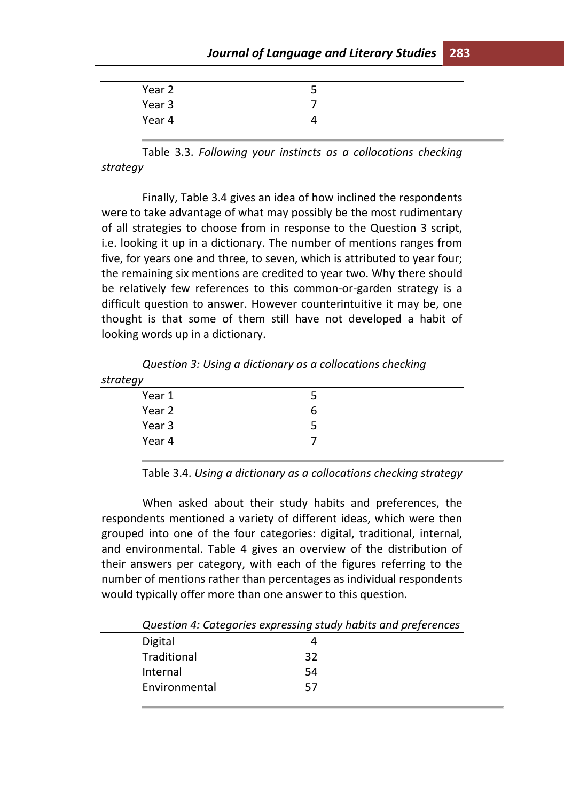# *Journal of Language and Literary Studies* **283**

| Year 2 | سه |  |
|--------|----|--|
| Year 3 |    |  |
| Year 4 |    |  |

Table 3.3. *Following your instincts as a collocations checking strategy*

Finally, Table 3.4 gives an idea of how inclined the respondents were to take advantage of what may possibly be the most rudimentary of all strategies to choose from in response to the Question 3 script, i.e. looking it up in a dictionary. The number of mentions ranges from five, for years one and three, to seven, which is attributed to year four; the remaining six mentions are credited to year two. Why there should be relatively few references to this common-or-garden strategy is a difficult question to answer. However counterintuitive it may be, one thought is that some of them still have not developed a habit of looking words up in a dictionary.

*Question 3: Using a dictionary as a collocations checking* 

| strategy |   |  |
|----------|---|--|
| Year 1   |   |  |
| Year 2   | b |  |
| Year 3   |   |  |
| Year 4   |   |  |
|          |   |  |

Table 3.4. *Using a dictionary as a collocations checking strategy*

When asked about their study habits and preferences, the respondents mentioned a variety of different ideas, which were then grouped into one of the four categories: digital, traditional, internal, and environmental. Table 4 gives an overview of the distribution of their answers per category, with each of the figures referring to the number of mentions rather than percentages as individual respondents would typically offer more than one answer to this question.

Digital 4 Traditional 32 Internal 54 Environmental 57

*Question 4: Categories expressing study habits and preferences*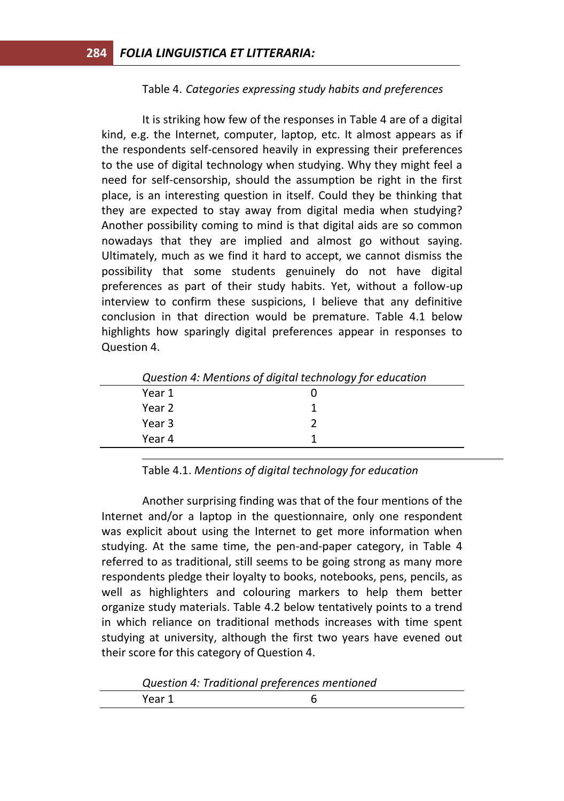## Table 4. *Categories expressing study habits and preferences*

It is striking how few of the responses in Table 4 are of a digital kind, e.g. the Internet, computer, laptop, etc. It almost appears as if the respondents self-censored heavily in expressing their preferences to the use of digital technology when studying. Why they might feel a need for self-censorship, should the assumption be right in the first place, is an interesting question in itself. Could they be thinking that they are expected to stay away from digital media when studying? Another possibility coming to mind is that digital aids are so common nowadays that they are implied and almost go without saying. Ultimately, much as we find it hard to accept, we cannot dismiss the possibility that some students genuinely do not have digital preferences as part of their study habits. Yet, without a follow-up interview to confirm these suspicions, I believe that any definitive conclusion in that direction would be premature. Table 4.1 below highlights how sparingly digital preferences appear in responses to Question 4.

#### Table 4.1. *Mentions of digital technology for education*

Another surprising finding was that of the four mentions of the Internet and/or a laptop in the questionnaire, only one respondent was explicit about using the Internet to get more information when studying. At the same time, the pen-and-paper category, in Table 4 referred to as traditional, still seems to be going strong as many more respondents pledge their loyalty to books, notebooks, pens, pencils, as well as highlighters and colouring markers to help them better organize study materials. Table 4.2 below tentatively points to a trend in which reliance on traditional methods increases with time spent studying at university, although the first two years have evened out their score for this category of Question 4.

| Question 4: Traditional preferences mentioned |  |
|-----------------------------------------------|--|
|-----------------------------------------------|--|

| $- - -$<br>$ -$ |  |
|-----------------|--|
|-----------------|--|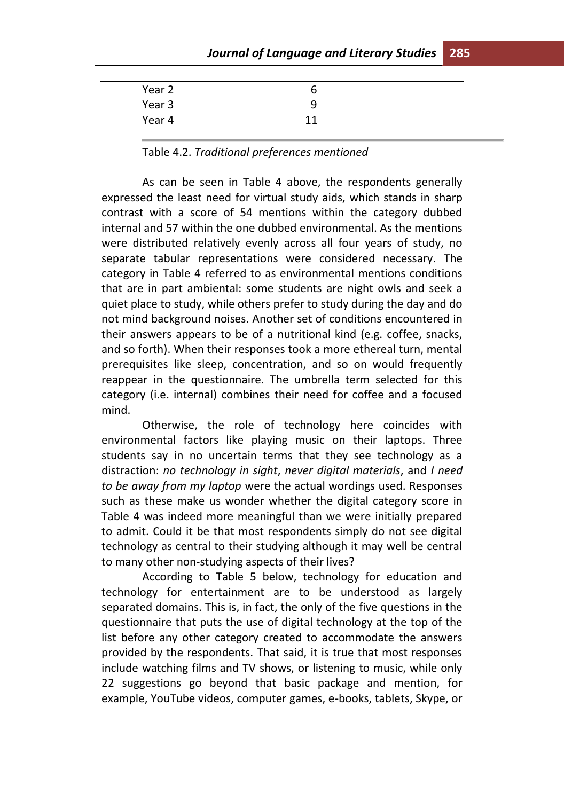# *Journal of Language and Literary Studies* **285**

| Year 2 |    |  |
|--------|----|--|
| Year 3 | q  |  |
| Year 4 | 11 |  |
|        |    |  |

#### Table 4.2. *Traditional preferences mentioned*

As can be seen in Table 4 above, the respondents generally expressed the least need for virtual study aids, which stands in sharp contrast with a score of 54 mentions within the category dubbed internal and 57 within the one dubbed environmental. As the mentions were distributed relatively evenly across all four years of study, no separate tabular representations were considered necessary. Тhe category in Table 4 referred to as environmental mentions conditions that are in part ambiental: some students are night owls and seek a quiet place to study, while others prefer to study during the day and do not mind background noises. Another set of conditions encountered in their answers appears to be of a nutritional kind (e.g. coffee, snacks, and so forth). When their responses took a more ethereal turn, mental prerequisites like sleep, concentration, and so on would frequently reappear in the questionnaire. The umbrella term selected for this category (i.e. internal) combines their need for coffee and a focused mind.

Otherwise, the role of technology here coincides with environmental factors like playing music on their laptops. Three students say in no uncertain terms that they see technology as a distraction: *no technology in sight*, *never digital materials*, and *I need to be away from my laptop* were the actual wordings used. Responses such as these make us wonder whether the digital category score in Table 4 was indeed more meaningful than we were initially prepared to admit. Could it be that most respondents simply do not see digital technology as central to their studying although it may well be central to many other non-studying aspects of their lives?

According to Table 5 below, technology for education and technology for entertainment are to be understood as largely separated domains. This is, in fact, the only of the five questions in the questionnaire that puts the use of digital technology at the top of the list before any other category created to accommodate the answers provided by the respondents. That said, it is true that most responses include watching films and TV shows, or listening to music, while only 22 suggestions go beyond that basic package and mention, for example, YouTube videos, computer games, e-books, tablets, Skype, or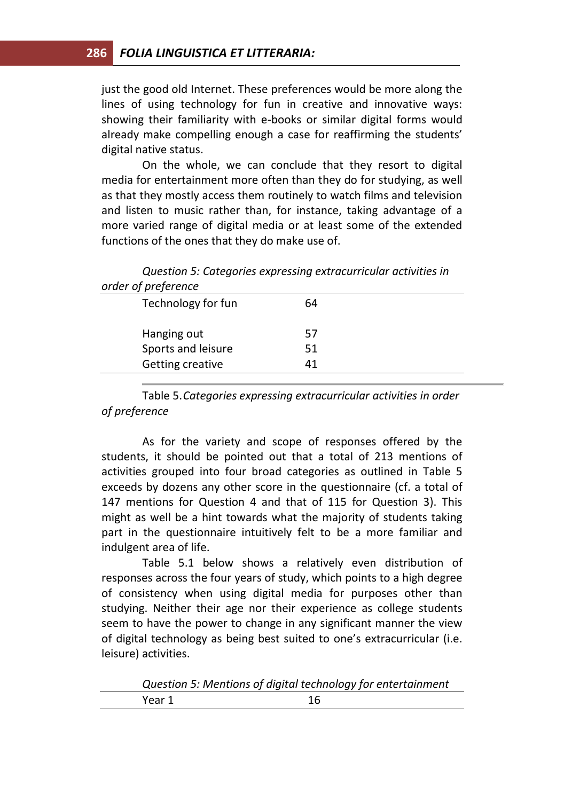just the good old Internet. These preferences would be more along the lines of using technology for fun in creative and innovative ways: showing their familiarity with e-books or similar digital forms would already make compelling enough a case for reaffirming the students' digital native status.

On the whole, we can conclude that they resort to digital media for entertainment more often than they do for studying, as well as that they mostly access them routinely to watch films and television and listen to music rather than, for instance, taking advantage of a more varied range of digital media or at least some of the extended functions of the ones that they do make use of.

| Technology for fun | 64 |  |
|--------------------|----|--|
| Hanging out        | 57 |  |
| Sports and leisure | 51 |  |
| Getting creative   | 41 |  |

|                   | Question 5: Categories expressing extracurricular activities in |  |  |
|-------------------|-----------------------------------------------------------------|--|--|
| der of preference |                                                                 |  |  |

Table 5.*Categories expressing extracurricular activities in order of preference*

As for the variety and scope of responses offered by the students, it should be pointed out that a total of 213 mentions of activities grouped into four broad categories as outlined in Table 5 exceeds by dozens any other score in the questionnaire (cf. a total of 147 mentions for Question 4 and that of 115 for Question 3). This might as well be a hint towards what the majority of students taking part in the questionnaire intuitively felt to be a more familiar and indulgent area of life.

Table 5.1 below shows a relatively even distribution of responses across the four years of study, which points to a high degree of consistency when using digital media for purposes other than studying. Neither their age nor their experience as college students seem to have the power to change in any significant manner the view of digital technology as being best suited to one's extracurricular (i.e. leisure) activities.

|        | Question 5: Mentions of digital technology for entertainment |
|--------|--------------------------------------------------------------|
| Year 1 | 16                                                           |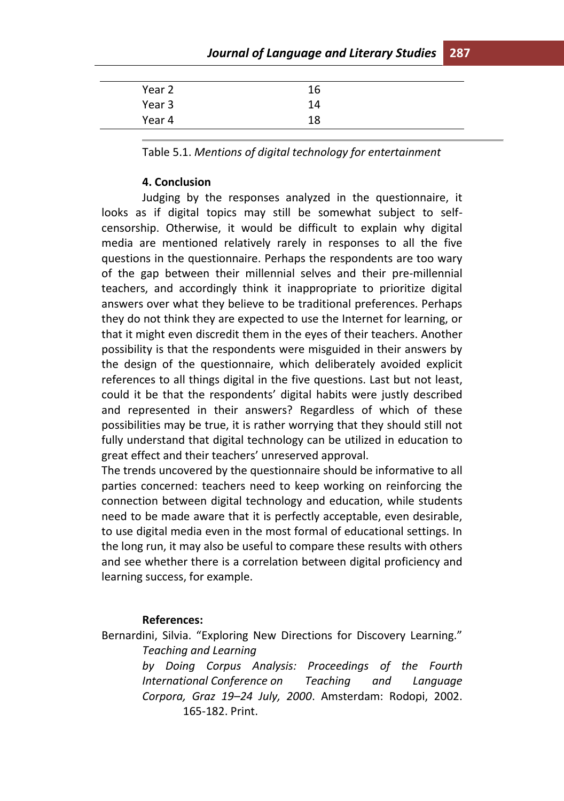# *Journal of Language and Literary Studies* **287**

| Year 2 | 16 |  |
|--------|----|--|
| Year 3 | 14 |  |
| Year 4 | 18 |  |

Table 5.1. *Mentions of digital technology for entertainment*

## **4. Conclusion**

Judging by the responses analyzed in the questionnaire, it looks as if digital topics may still be somewhat subject to selfcensorship. Otherwise, it would be difficult to explain why digital media are mentioned relatively rarely in responses to all the five questions in the questionnaire. Perhaps the respondents are too wary of the gap between their millennial selves and their pre-millennial teachers, and accordingly think it inappropriate to prioritize digital answers over what they believe to be traditional preferences. Perhaps they do not think they are expected to use the Internet for learning, or that it might even discredit them in the eyes of their teachers. Another possibility is that the respondents were misguided in their answers by the design of the questionnaire, which deliberately avoided explicit references to all things digital in the five questions. Last but not least, could it be that the respondents' digital habits were justly described and represented in their answers? Regardless of which of these possibilities may be true, it is rather worrying that they should still not fully understand that digital technology can be utilized in education to great effect and their teachers' unreserved approval.

The trends uncovered by the questionnaire should be informative to all parties concerned: teachers need to keep working on reinforcing the connection between digital technology and education, while students need to be made aware that it is perfectly acceptable, even desirable, to use digital media even in the most formal of educational settings. In the long run, it may also be useful to compare these results with others and see whether there is a correlation between digital proficiency and learning success, for example.

#### **References:**

Bernardini, Silvia. "Exploring New Directions for Discovery Learning." *Teaching and Learning* 

> *by Doing Corpus Analysis: Proceedings of the Fourth International Conference on Teaching and Language Corpora, Graz 19–24 July, 2000*. Amsterdam: Rodopi, 2002. 165-182. Print.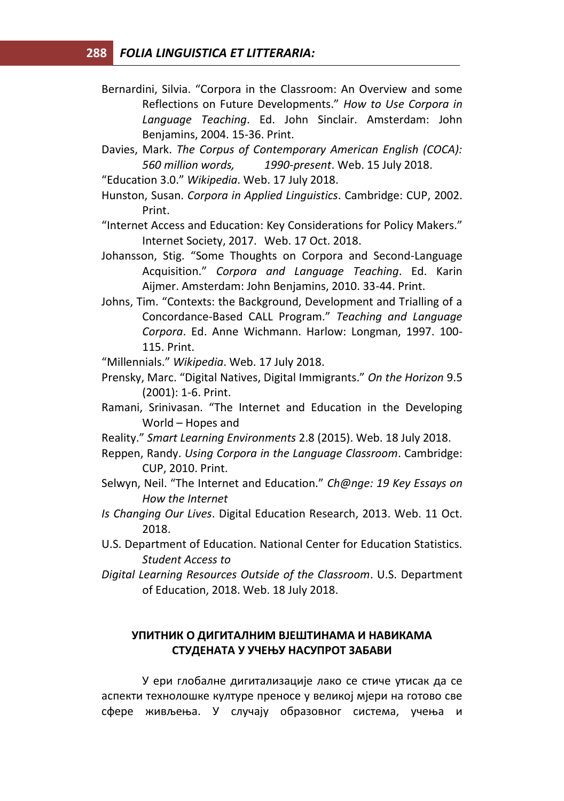- Bernardini, Silvia. "Corpora in the Classroom: An Overview and some Reflections on Future Developments." *How to Use Corpora in Language Teaching*. Ed. John Sinclair. Amsterdam: John Benjamins, 2004. 15-36. Print.
- Davies, Mark. *The Corpus of Contemporary American English (COCA): 560 million words, 1990-present*. Web. 15 July 2018.
- "Education 3.0." *Wikipedia*. Web. 17 July 2018.
- Hunston, Susan. *Corpora in Applied Linguistics*. Cambridge: CUP, 2002. Print.
- "Internet Access and Education: Key Considerations for Policy Makers." Internet Society, 2017. Web. 17 Oct. 2018.
- Johansson, Stig. "Some Thoughts on Corpora and Second-Language Acquisition." *Corpora and Language Teaching*. Ed. Karin Aijmer. Amsterdam: John Benjamins, 2010. 33-44. Print.
- Johns, Tim. "Contexts: the Background, Development and Trialling of a Concordance-Based CALL Program." *Teaching and Language Corpora*. Ed. Anne Wichmann. Harlow: Longman, 1997. 100- 115. Print.

"Millennials." *Wikipedia*. Web. 17 July 2018.

- Prensky, Marc. "Digital Natives, Digital Immigrants." *On the Horizon* 9.5 (2001): 1-6. Print.
- Ramani, Srinivasan. "The Internet and Education in the Developing World – Hopes and
- Reality." *Smart Learning Environments* 2.8 (2015). Web. 18 July 2018.
- Reppen, Randy. *Using Corpora in the Language Classroom*. Cambridge: CUP, 2010. Print.
- Selwyn, Neil. "The Internet and Education." *Ch@nge: 19 Key Essays on How the Internet*
- *Is Changing Our Lives*. Digital Education Research, 2013. Web. 11 Oct. 2018.
- U.S. Department of Education. National Center for Education Statistics. *Student Access to*
- *Digital Learning Resources Outside of the Classroom*. U.S. Department of Education, 2018. Web. 18 July 2018.

## **УПИТНИК О ДИГИТАЛНИМ ВЈЕШТИНАМА И НАВИКАМА СТУДЕНАТА У УЧЕЊУ НАСУПРОТ ЗАБАВИ**

У ери глобалне дигитализације лако се стиче утисак да се аспекти технолошке културе преносе у великој мјери на готово све сфере живљења. У случају образовног система, учења и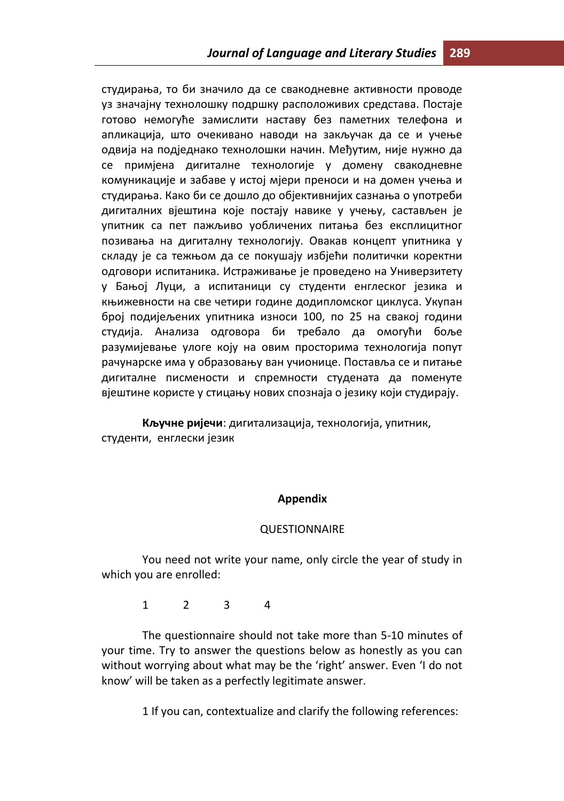студирања, то би значило да се свакодневне активности проводе уз значајну технолошку подршку расположивих средстава. Постаје готово немогуће замислити наставу без паметних телефона и апликација, што очекивано наводи на закључак да се и учење одвија на подједнако технолошки начин. Међутим, није нужно да се примјена дигиталне технологије у домену свакодневне комуникације и забаве у истој мјери преноси и на домен учења и студирања. Како би се дошло до објективнијих сазнања о употреби дигиталних вјештина које постају навике у учењу, састављен је упитник са пет пажљиво уобличених питања без експлицитног позивања на дигиталну технологију. Овакав концепт упитника у складу је са тежњом да се покушају избјећи политички коректни одговори испитаника. Истраживање је проведено на Универзитету у Бањој Луци, а испитаници су студенти енглеског језика и књижевности на све четири године додипломског циклуса. Укупан број подијељених упитника износи 100, по 25 на свакој години студија. Анализа одговора би требало да омогући боље разумијевање улоге коју на овим просторима технологија попут рачунарске има у образовању ван учионице. Поставља се и питање дигиталне писмености и спремности студената да поменуте вјештине користе у стицању нових спознаја о језику који студирају.

**Кључне ријечи**: дигитализација, технологија, упитник, студенти, енглески језик

## **Appendix**

#### QUESTIONNAIRE

You need not write your name, only circle the year of study in which you are enrolled:

1 2 3 4

The questionnaire should not take more than 5-10 minutes of your time. Try to answer the questions below as honestly as you can without worrying about what may be the 'right' answer. Even 'I do not know' will be taken as a perfectly legitimate answer.

1 If you can, contextualize and clarify the following references: